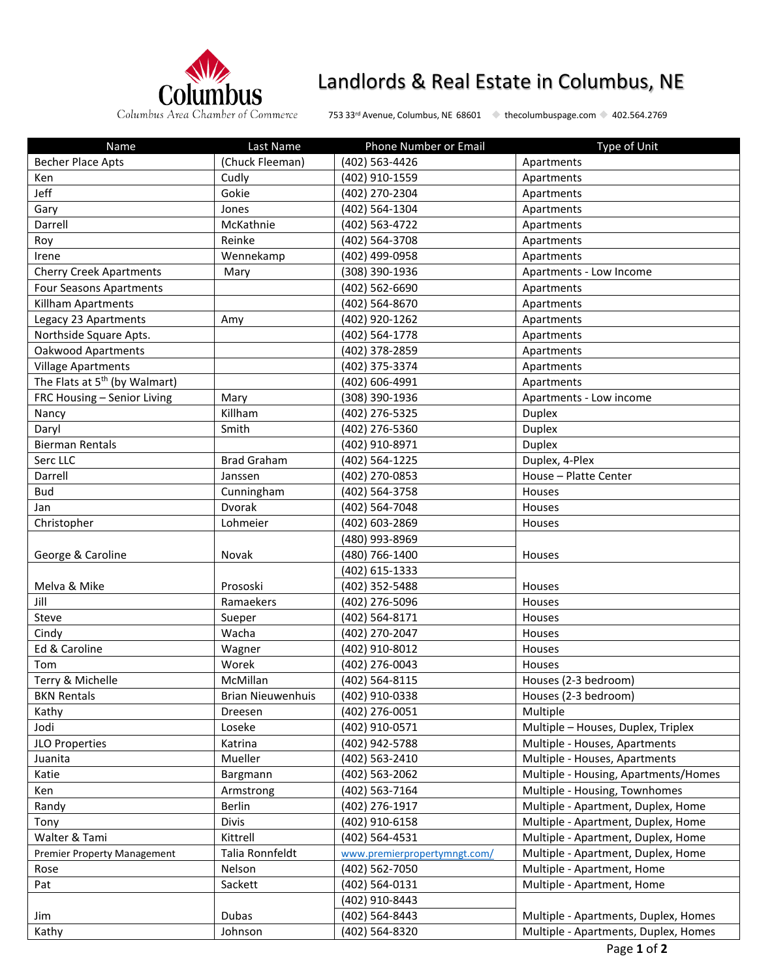

# Landlords & Real Estate in Columbus, NE

Columbus Area Chamber of Commerce 753 33rd Avenue, Columbus, NE 68601 + thecolumbuspage.com + 402.564.2769

| Name                                      | Last Name                | Phone Number or Email        | Type of Unit                         |
|-------------------------------------------|--------------------------|------------------------------|--------------------------------------|
| <b>Becher Place Apts</b>                  | (Chuck Fleeman)          | (402) 563-4426               | Apartments                           |
| Ken                                       | Cudly                    | (402) 910-1559               | Apartments                           |
| Jeff                                      | Gokie                    | (402) 270-2304               | Apartments                           |
| Gary                                      | Jones                    | (402) 564-1304               | Apartments                           |
| Darrell                                   | McKathnie                | (402) 563-4722               | Apartments                           |
| Roy                                       | Reinke                   | (402) 564-3708               | Apartments                           |
| Irene                                     | Wennekamp                | (402) 499-0958               | Apartments                           |
| <b>Cherry Creek Apartments</b>            | Mary                     | (308) 390-1936               | Apartments - Low Income              |
| <b>Four Seasons Apartments</b>            |                          | (402) 562-6690               | Apartments                           |
| Killham Apartments                        |                          | (402) 564-8670               | Apartments                           |
| Legacy 23 Apartments                      | Amy                      | (402) 920-1262               | Apartments                           |
| Northside Square Apts.                    |                          | (402) 564-1778               | Apartments                           |
| Oakwood Apartments                        |                          | (402) 378-2859               | Apartments                           |
| <b>Village Apartments</b>                 |                          | (402) 375-3374               | Apartments                           |
| The Flats at 5 <sup>th</sup> (by Walmart) |                          | (402) 606-4991               | Apartments                           |
| FRC Housing - Senior Living               | Mary                     | (308) 390-1936               | Apartments - Low income              |
| Nancy                                     | Killham                  | (402) 276-5325               | <b>Duplex</b>                        |
| Daryl                                     | Smith                    | (402) 276-5360               | <b>Duplex</b>                        |
| <b>Bierman Rentals</b>                    |                          | (402) 910-8971               | <b>Duplex</b>                        |
| Serc LLC                                  | <b>Brad Graham</b>       | (402) 564-1225               | Duplex, 4-Plex                       |
| Darrell                                   | Janssen                  | (402) 270-0853               | House - Platte Center                |
| Bud                                       | Cunningham               | (402) 564-3758               | Houses                               |
| Jan                                       | Dvorak                   | (402) 564-7048               | Houses                               |
| Christopher                               | Lohmeier                 | (402) 603-2869               | Houses                               |
|                                           |                          | (480) 993-8969               |                                      |
| George & Caroline                         | Novak                    | (480) 766-1400               | Houses                               |
|                                           |                          | (402) 615-1333               |                                      |
| Melva & Mike                              | Prososki                 | (402) 352-5488               | Houses                               |
| Jill                                      | Ramaekers                | (402) 276-5096               | Houses                               |
| Steve                                     | Sueper                   | (402) 564-8171               | Houses                               |
| Cindy                                     | Wacha                    | (402) 270-2047               | Houses                               |
| Ed & Caroline                             | Wagner                   | (402) 910-8012               | Houses                               |
| Tom                                       | Worek                    | (402) 276-0043               | Houses                               |
| Terry & Michelle                          | McMillan                 | (402) 564-8115               | Houses (2-3 bedroom)                 |
| <b>BKN Rentals</b>                        | <b>Brian Nieuwenhuis</b> | (402) 910-0338               | Houses (2-3 bedroom)                 |
| Kathy                                     | Dreesen                  | (402) 276-0051               | Multiple                             |
| Jodi                                      | Loseke                   | (402) 910-0571               | Multiple - Houses, Duplex, Triplex   |
| JLO Properties                            | Katrina                  | (402) 942-5788               | Multiple - Houses, Apartments        |
| Juanita                                   | Mueller                  | (402) 563-2410               | Multiple - Houses, Apartments        |
| Katie                                     | Bargmann                 | (402) 563-2062               | Multiple - Housing, Apartments/Homes |
| Ken                                       |                          | (402) 563-7164               | Multiple - Housing, Townhomes        |
| Randy                                     | Armstrong<br>Berlin      | (402) 276-1917               | Multiple - Apartment, Duplex, Home   |
| Tony                                      | Divis                    | (402) 910-6158               | Multiple - Apartment, Duplex, Home   |
| Walter & Tami                             | Kittrell                 | (402) 564-4531               | Multiple - Apartment, Duplex, Home   |
|                                           | Talia Ronnfeldt          |                              | Multiple - Apartment, Duplex, Home   |
| <b>Premier Property Management</b>        | Nelson                   | www.premierpropertymngt.com/ |                                      |
| Rose                                      |                          | (402) 562-7050               | Multiple - Apartment, Home           |
| Pat                                       | Sackett                  | (402) 564-0131               | Multiple - Apartment, Home           |
|                                           |                          | (402) 910-8443               |                                      |
| Jim                                       | Dubas                    | (402) 564-8443               | Multiple - Apartments, Duplex, Homes |
| Kathy                                     | Johnson                  | (402) 564-8320               | Multiple - Apartments, Duplex, Homes |